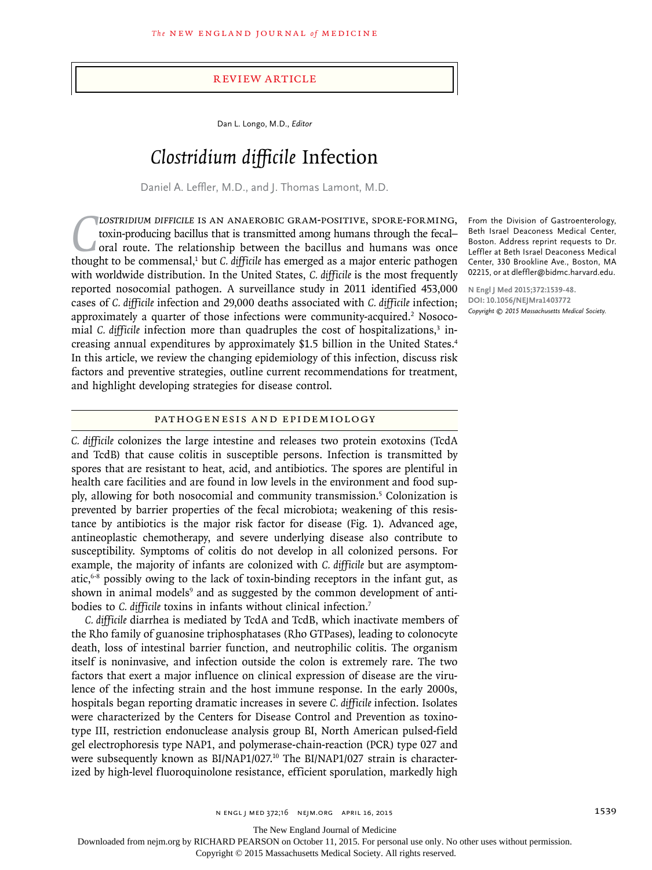## Review Article

Dan L. Longo, M.D., *Editor*

# *Clostridium difficile* Infection

Daniel A. Leffler, M.D., and J. Thomas Lamont, M.D.

LOSTRIDIUM DIFFICILE IS AN ANAEROBIC GRAM-POSITIVE, SPORE-FORMING, toxin-producing bacillus that is transmitted among humans through the fecal-<br>oral route. The relationship between the bacillus and humans was once<br>thought *lostridium difficile* is an anaerobic gram-positive, spore-forming, toxin-producing bacillus that is transmitted among humans through the fecal– oral route. The relationship between the bacillus and humans was once with worldwide distribution. In the United States, *C. difficile* is the most frequently reported nosocomial pathogen. A surveillance study in 2011 identified 453,000 cases of *C. difficile* infection and 29,000 deaths associated with *C. difficile* infection; approximately a quarter of those infections were community-acquired.<sup>2</sup> Nosocomial *C. difficile* infection more than quadruples the cost of hospitalizations,<sup>3</sup> increasing annual expenditures by approximately \$1.5 billion in the United States.4 In this article, we review the changing epidemiology of this infection, discuss risk factors and preventive strategies, outline current recommendations for treatment, and highlight developing strategies for disease control.

#### From the Division of Gastroenterology, Beth Israel Deaconess Medical Center, Boston. Address reprint requests to Dr. Leffler at Beth Israel Deaconess Medical Center, 330 Brookline Ave., Boston, MA 02215, or at dleffler@bidmc.harvard.edu.

**N Engl J Med 2015;372:1539-48. DOI: 10.1056/NEJMra1403772** *Copyright © 2015 Massachusetts Medical Society.*

### Pathogenesis and Epidemiology

*C. difficile* colonizes the large intestine and releases two protein exotoxins (TcdA and TcdB) that cause colitis in susceptible persons. Infection is transmitted by spores that are resistant to heat, acid, and antibiotics. The spores are plentiful in health care facilities and are found in low levels in the environment and food supply, allowing for both nosocomial and community transmission.5 Colonization is prevented by barrier properties of the fecal microbiota; weakening of this resistance by antibiotics is the major risk factor for disease (Fig. 1). Advanced age, antineoplastic chemotherapy, and severe underlying disease also contribute to susceptibility. Symptoms of colitis do not develop in all colonized persons. For example, the majority of infants are colonized with *C. difficile* but are asymptomatic,6-8 possibly owing to the lack of toxin-binding receptors in the infant gut, as shown in animal models<sup>9</sup> and as suggested by the common development of antibodies to *C. difficile* toxins in infants without clinical infection.7

*C. difficile* diarrhea is mediated by TcdA and TcdB, which inactivate members of the Rho family of guanosine triphosphatases (Rho GTPases), leading to colonocyte death, loss of intestinal barrier function, and neutrophilic colitis. The organism itself is noninvasive, and infection outside the colon is extremely rare. The two factors that exert a major influence on clinical expression of disease are the virulence of the infecting strain and the host immune response. In the early 2000s, hospitals began reporting dramatic increases in severe *C. difficile* infection. Isolates were characterized by the Centers for Disease Control and Prevention as toxinotype III, restriction endonuclease analysis group BI, North American pulsed-field gel electrophoresis type NAP1, and polymerase-chain-reaction (PCR) type 027 and were subsequently known as BI/NAP1/027.<sup>10</sup> The BI/NAP1/027 strain is characterized by high-level fluoroquinolone resistance, efficient sporulation, markedly high

n engl j med 372;16 nejm.org April 16, 2015 1539

The New England Journal of Medicine

Downloaded from nejm.org by RICHARD PEARSON on October 11, 2015. For personal use only. No other uses without permission.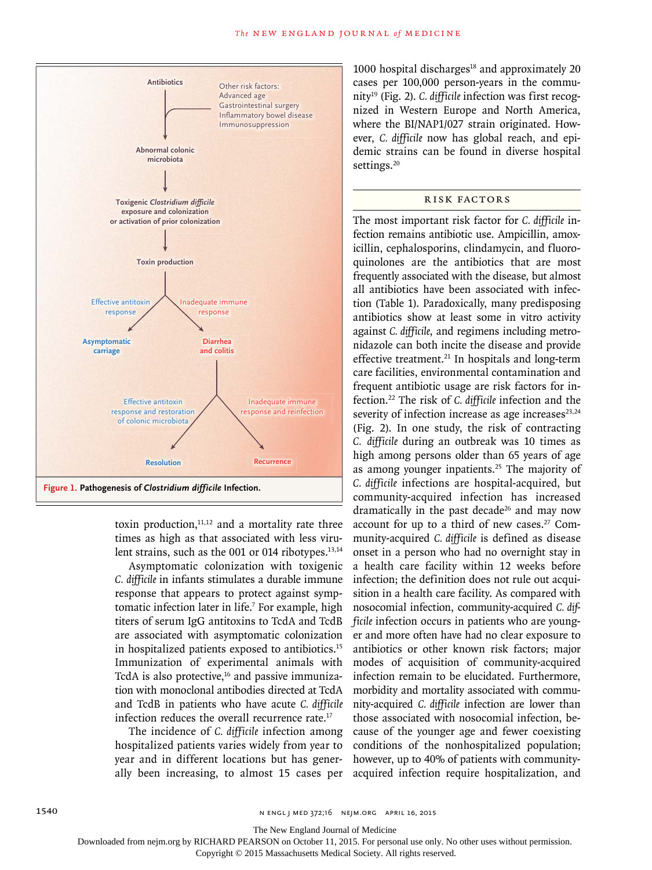

toxin production, $11,12$  and a mortality rate three times as high as that associated with less virulent strains, such as the 001 or 014 ribotypes. $^{13,14}$ 

Asymptomatic colonization with toxigenic *C. difficile* in infants stimulates a durable immune response that appears to protect against symptomatic infection later in life.<sup>7</sup> For example, high titers of serum IgG antitoxins to TcdA and TcdB are associated with asymptomatic colonization in hospitalized patients exposed to antibiotics.15 Immunization of experimental animals with TcdA is also protective, $16$  and passive immunization with monoclonal antibodies directed at TcdA and TcdB in patients who have acute *C. difficile* infection reduces the overall recurrence rate.<sup>17</sup>

The incidence of *C. difficile* infection among hospitalized patients varies widely from year to year and in different locations but has generally been increasing, to almost 15 cases per

1000 hospital discharges $18$  and approximately 20 cases per 100,000 person-years in the community19 (Fig. 2). *C. difficile* infection was first recognized in Western Europe and North America, where the BI/NAP1/027 strain originated. However, *C. difficile* now has global reach, and epidemic strains can be found in diverse hospital settings.<sup>20</sup>

# Risk Factors

The most important risk factor for *C. difficile* infection remains antibiotic use. Ampicillin, amoxicillin, cephalosporins, clindamycin, and fluoroquinolones are the antibiotics that are most frequently associated with the disease, but almost all antibiotics have been associated with infection (Table 1). Paradoxically, many predisposing antibiotics show at least some in vitro activity against *C. difficile*, and regimens including metronidazole can both incite the disease and provide effective treatment.<sup>21</sup> In hospitals and long-term care facilities, environmental contamination and frequent antibiotic usage are risk factors for infection.22 The risk of *C. difficile* infection and the severity of infection increase as age increases $23,24$ (Fig. 2). In one study, the risk of contracting *C. difficile* during an outbreak was 10 times as high among persons older than 65 years of age as among younger inpatients.<sup>25</sup> The majority of *C. difficile* infections are hospital-acquired, but community-acquired infection has increased dramatically in the past decade<sup>26</sup> and may now account for up to a third of new cases.27 Community-acquired *C. difficile* is defined as disease onset in a person who had no overnight stay in a health care facility within 12 weeks before infection; the definition does not rule out acquisition in a health care facility. As compared with nosocomial infection, community-acquired *C. difficile* infection occurs in patients who are younger and more often have had no clear exposure to antibiotics or other known risk factors; major modes of acquisition of community-acquired infection remain to be elucidated. Furthermore, morbidity and mortality associated with community-acquired *C. difficile* infection are lower than those associated with nosocomial infection, because of the younger age and fewer coexisting conditions of the nonhospitalized population; however, up to 40% of patients with communityacquired infection require hospitalization, and

The New England Journal of Medicine

Downloaded from nejm.org by RICHARD PEARSON on October 11, 2015. For personal use only. No other uses without permission.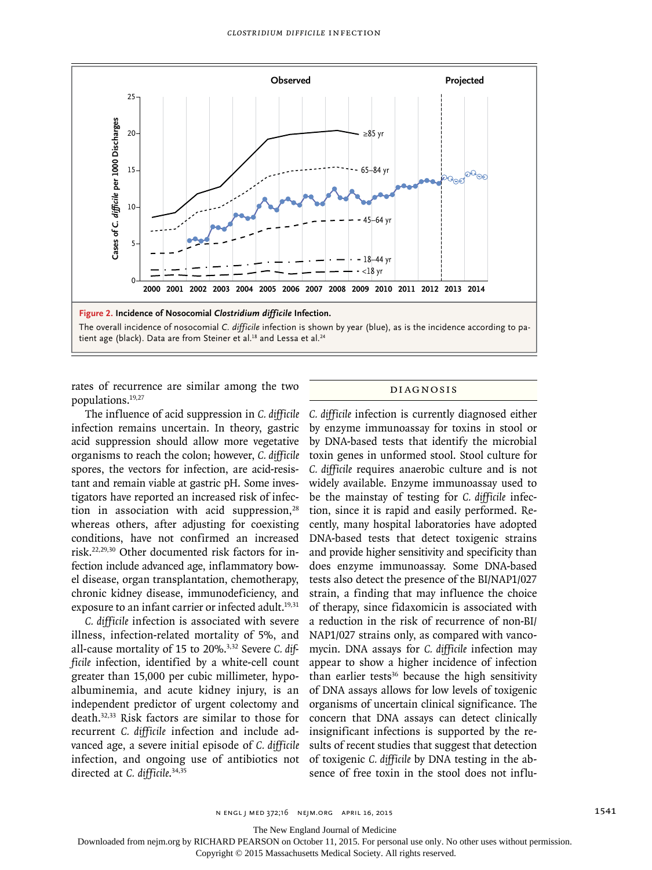

rates of recurrence are similar among the two populations.19,27

The influence of acid suppression in *C. difficile* infection remains uncertain. In theory, gastric acid suppression should allow more vegetative organisms to reach the colon; however, *C. difficile* spores, the vectors for infection, are acid-resistant and remain viable at gastric pH. Some investigators have reported an increased risk of infection in association with acid suppression, $28$ whereas others, after adjusting for coexisting conditions, have not confirmed an increased risk.22,29,30 Other documented risk factors for infection include advanced age, inflammatory bowel disease, organ transplantation, chemotherapy, chronic kidney disease, immunodeficiency, and exposure to an infant carrier or infected adult.<sup>19,31</sup>

*C. difficile* infection is associated with severe illness, infection-related mortality of 5%, and all-cause mortality of 15 to 20%.3,32 Severe *C. difficile* infection, identified by a white-cell count greater than 15,000 per cubic millimeter, hypoalbuminemia, and acute kidney injury, is an independent predictor of urgent colectomy and death.32,33 Risk factors are similar to those for recurrent *C. difficile* infection and include advanced age, a severe initial episode of *C. difficile* infection, and ongoing use of antibiotics not directed at *C. difficile*. 34,35

#### Diagnosis

*C. difficile* infection is currently diagnosed either by enzyme immunoassay for toxins in stool or by DNA-based tests that identify the microbial toxin genes in unformed stool. Stool culture for *C. difficile* requires anaerobic culture and is not widely available. Enzyme immunoassay used to be the mainstay of testing for *C. difficile* infection, since it is rapid and easily performed. Recently, many hospital laboratories have adopted DNA-based tests that detect toxigenic strains and provide higher sensitivity and specificity than does enzyme immunoassay. Some DNA-based tests also detect the presence of the BI/NAP1/027 strain, a finding that may influence the choice of therapy, since fidaxomicin is associated with a reduction in the risk of recurrence of non-BI/ NAP1/027 strains only, as compared with vancomycin. DNA assays for *C. difficile* infection may appear to show a higher incidence of infection than earlier tests<sup>36</sup> because the high sensitivity of DNA assays allows for low levels of toxigenic organisms of uncertain clinical significance. The concern that DNA assays can detect clinically insignificant infections is supported by the results of recent studies that suggest that detection of toxigenic *C. difficile* by DNA testing in the absence of free toxin in the stool does not influ-

The New England Journal of Medicine

Downloaded from nejm.org by RICHARD PEARSON on October 11, 2015. For personal use only. No other uses without permission.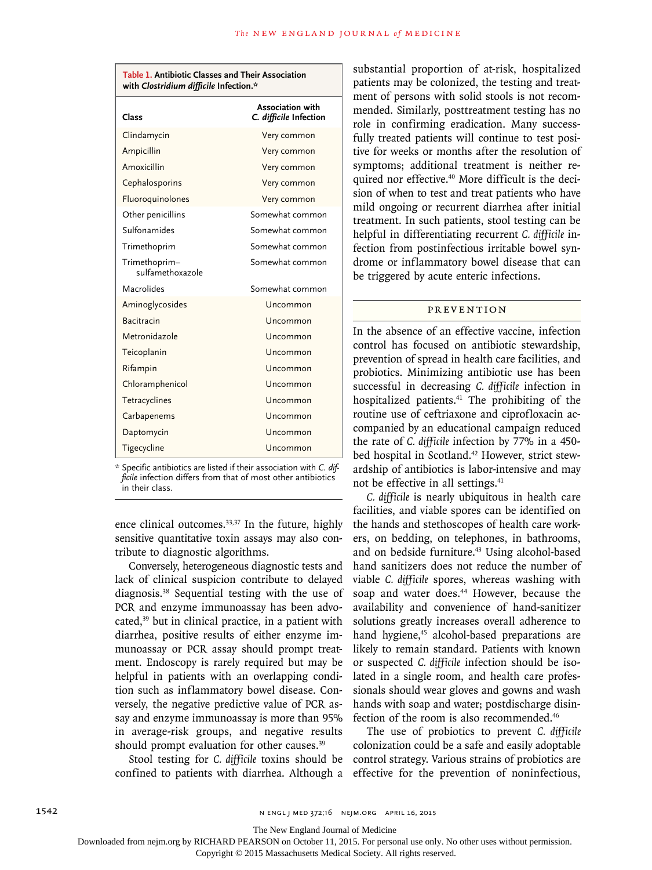| Table 1. Antibiotic Classes and Their Association<br>with Clostridium difficile Infection.* |                                                   |
|---------------------------------------------------------------------------------------------|---------------------------------------------------|
| Class                                                                                       | <b>Association with</b><br>C. difficile Infection |
| Clindamycin                                                                                 | Very common                                       |
| Ampicillin                                                                                  | Very common                                       |
| Amoxicillin                                                                                 | Very common                                       |
| Cephalosporins                                                                              | Very common                                       |
| Fluoroquinolones                                                                            | Very common                                       |
| Other penicillins                                                                           | Somewhat common                                   |
| Sulfonamides                                                                                | Somewhat common                                   |
| Trimethoprim                                                                                | Somewhat common                                   |
| Trimethoprim-<br>sulfamethoxazole                                                           | Somewhat common                                   |
| Macrolides                                                                                  | Somewhat common                                   |
| Aminoglycosides                                                                             | Uncommon                                          |
| <b>Bacitracin</b>                                                                           | Uncommon                                          |
| Metronidazole                                                                               | Uncommon                                          |
| Teicoplanin                                                                                 | Uncommon                                          |
| Rifampin                                                                                    | Uncommon                                          |
| Chloramphenicol                                                                             | Uncommon                                          |
| Tetracyclines                                                                               | Uncommon                                          |
| Carbapenems                                                                                 | Uncommon                                          |
| Daptomycin                                                                                  | Uncommon                                          |
| Tigecycline                                                                                 | Uncommon                                          |

listed if their association with *C. difficile* infection differs from that of most other antibiotics in their class.

ence clinical outcomes.<sup>33,37</sup> In the future, highly sensitive quantitative toxin assays may also contribute to diagnostic algorithms.

Conversely, heterogeneous diagnostic tests and lack of clinical suspicion contribute to delayed diagnosis.38 Sequential testing with the use of PCR and enzyme immunoassay has been advocated, $39$  but in clinical practice, in a patient with diarrhea, positive results of either enzyme immunoassay or PCR assay should prompt treatment. Endoscopy is rarely required but may be helpful in patients with an overlapping condition such as inflammatory bowel disease. Conversely, the negative predictive value of PCR assay and enzyme immunoassay is more than 95% in average-risk groups, and negative results should prompt evaluation for other causes.<sup>39</sup>

Stool testing for *C. difficile* toxins should be confined to patients with diarrhea. Although a substantial proportion of at-risk, hospitalized patients may be colonized, the testing and treatment of persons with solid stools is not recommended. Similarly, posttreatment testing has no role in confirming eradication. Many successfully treated patients will continue to test positive for weeks or months after the resolution of symptoms; additional treatment is neither required nor effective.40 More difficult is the decision of when to test and treat patients who have mild ongoing or recurrent diarrhea after initial treatment. In such patients, stool testing can be helpful in differentiating recurrent *C. difficile* infection from postinfectious irritable bowel syndrome or inflammatory bowel disease that can be triggered by acute enteric infections.

# **PREVENTION**

In the absence of an effective vaccine, infection control has focused on antibiotic stewardship, prevention of spread in health care facilities, and probiotics. Minimizing antibiotic use has been successful in decreasing *C. difficile* infection in hospitalized patients.<sup>41</sup> The prohibiting of the routine use of ceftriaxone and ciprofloxacin accompanied by an educational campaign reduced the rate of *C. difficile* infection by 77% in a 450 bed hospital in Scotland.<sup>42</sup> However, strict stewardship of antibiotics is labor-intensive and may not be effective in all settings.<sup>41</sup>

*C. difficile* is nearly ubiquitous in health care facilities, and viable spores can be identified on the hands and stethoscopes of health care workers, on bedding, on telephones, in bathrooms, and on bedside furniture.<sup>43</sup> Using alcohol-based hand sanitizers does not reduce the number of viable *C. difficile* spores, whereas washing with soap and water does.<sup>44</sup> However, because the availability and convenience of hand-sanitizer solutions greatly increases overall adherence to hand hygiene,<sup>45</sup> alcohol-based preparations are likely to remain standard. Patients with known or suspected *C. difficile* infection should be isolated in a single room, and health care professionals should wear gloves and gowns and wash hands with soap and water; postdischarge disinfection of the room is also recommended.46

The use of probiotics to prevent *C. difficile* colonization could be a safe and easily adoptable control strategy. Various strains of probiotics are effective for the prevention of noninfectious,

The New England Journal of Medicine

Downloaded from nejm.org by RICHARD PEARSON on October 11, 2015. For personal use only. No other uses without permission.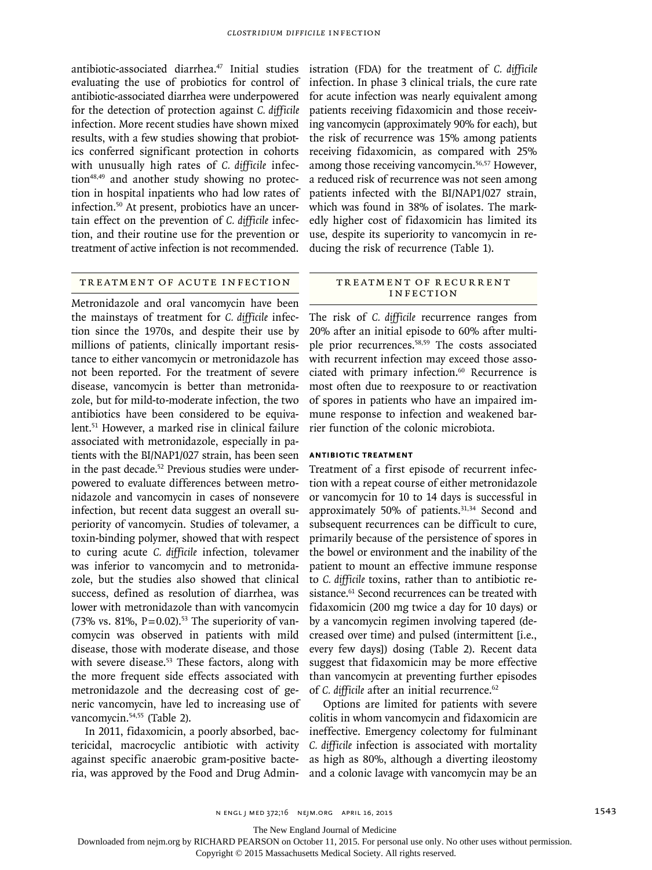antibiotic-associated diarrhea.<sup>47</sup> Initial studies evaluating the use of probiotics for control of antibiotic-associated diarrhea were underpowered for the detection of protection against *C. difficile* infection. More recent studies have shown mixed results, with a few studies showing that probiotics conferred significant protection in cohorts with unusually high rates of *C. difficile* infection<sup>48,49</sup> and another study showing no protection in hospital inpatients who had low rates of infection.50 At present, probiotics have an uncertain effect on the prevention of *C. difficile* infection, and their routine use for the prevention or treatment of active infection is not recommended.

## Treatment of Acute Infection

Metronidazole and oral vancomycin have been the mainstays of treatment for *C. difficile* infection since the 1970s, and despite their use by millions of patients, clinically important resistance to either vancomycin or metronidazole has not been reported. For the treatment of severe disease, vancomycin is better than metronidazole, but for mild-to-moderate infection, the two antibiotics have been considered to be equivalent.51 However, a marked rise in clinical failure associated with metronidazole, especially in patients with the BI/NAP1/027 strain, has been seen in the past decade.<sup>52</sup> Previous studies were underpowered to evaluate differences between metronidazole and vancomycin in cases of nonsevere infection, but recent data suggest an overall superiority of vancomycin. Studies of tolevamer, a toxin-binding polymer, showed that with respect to curing acute *C. difficile* infection, tolevamer was inferior to vancomycin and to metronidazole, but the studies also showed that clinical success, defined as resolution of diarrhea, was lower with metronidazole than with vancomycin (73% vs. 81%,  $P = 0.02$ ).<sup>53</sup> The superiority of vancomycin was observed in patients with mild disease, those with moderate disease, and those with severe disease.<sup>53</sup> These factors, along with the more frequent side effects associated with metronidazole and the decreasing cost of generic vancomycin, have led to increasing use of vancomycin.<sup>54,55</sup> (Table 2).

In 2011, fidaxomicin, a poorly absorbed, bactericidal, macrocyclic antibiotic with activity against specific anaerobic gram-positive bacteria, was approved by the Food and Drug Administration (FDA) for the treatment of *C. difficile* infection. In phase 3 clinical trials, the cure rate for acute infection was nearly equivalent among patients receiving fidaxomicin and those receiving vancomycin (approximately 90% for each), but the risk of recurrence was 15% among patients receiving fidaxomicin, as compared with 25% among those receiving vancomycin.56,57 However, a reduced risk of recurrence was not seen among patients infected with the BI/NAP1/027 strain, which was found in 38% of isolates. The markedly higher cost of fidaxomicin has limited its use, despite its superiority to vancomycin in reducing the risk of recurrence (Table 1).

### TR EATMENT OF RECURRENT **INFECTION**

The risk of *C. difficile* recurrence ranges from 20% after an initial episode to 60% after multiple prior recurrences.58,59 The costs associated with recurrent infection may exceed those associated with primary infection.<sup>60</sup> Recurrence is most often due to reexposure to or reactivation of spores in patients who have an impaired immune response to infection and weakened barrier function of the colonic microbiota.

#### **Antibiotic Treatment**

Treatment of a first episode of recurrent infection with a repeat course of either metronidazole or vancomycin for 10 to 14 days is successful in approximately 50% of patients.<sup>31,34</sup> Second and subsequent recurrences can be difficult to cure, primarily because of the persistence of spores in the bowel or environment and the inability of the patient to mount an effective immune response to *C. difficile* toxins, rather than to antibiotic resistance.<sup>61</sup> Second recurrences can be treated with fidaxomicin (200 mg twice a day for 10 days) or by a vancomycin regimen involving tapered (decreased over time) and pulsed (intermittent [i.e., every few days]) dosing (Table 2). Recent data suggest that fidaxomicin may be more effective than vancomycin at preventing further episodes of *C. difficile* after an initial recurrence.<sup>62</sup>

Options are limited for patients with severe colitis in whom vancomycin and fidaxomicin are ineffective. Emergency colectomy for fulminant *C. difficile* infection is associated with mortality as high as 80%, although a diverting ileostomy and a colonic lavage with vancomycin may be an

The New England Journal of Medicine

Downloaded from nejm.org by RICHARD PEARSON on October 11, 2015. For personal use only. No other uses without permission.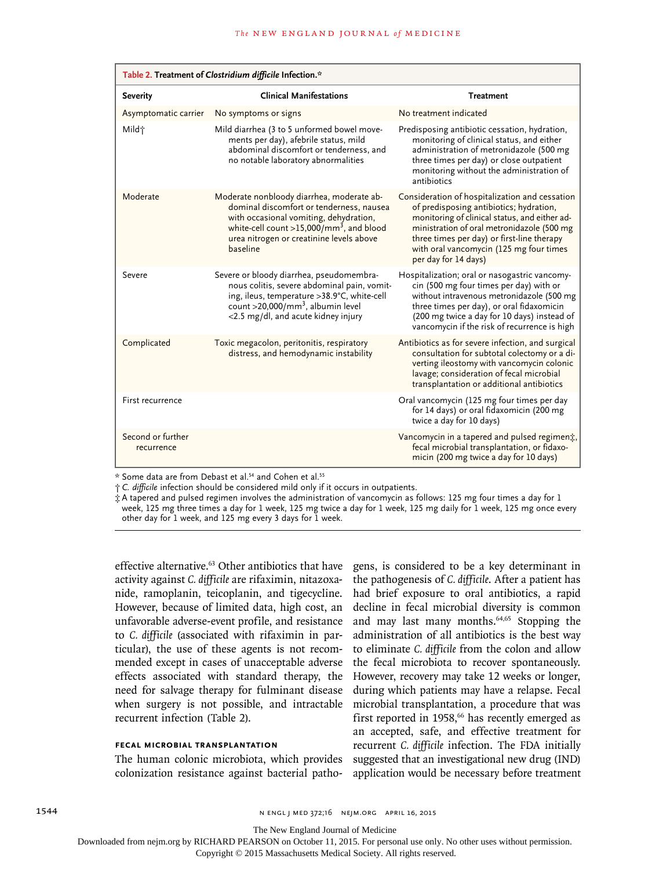| Table 2. Treatment of Clostridium difficile Infection.* |                                                                                                                                                                                                                                                 |                                                                                                                                                                                                                                                                                                           |
|---------------------------------------------------------|-------------------------------------------------------------------------------------------------------------------------------------------------------------------------------------------------------------------------------------------------|-----------------------------------------------------------------------------------------------------------------------------------------------------------------------------------------------------------------------------------------------------------------------------------------------------------|
| <b>Severity</b>                                         | <b>Clinical Manifestations</b>                                                                                                                                                                                                                  | <b>Treatment</b>                                                                                                                                                                                                                                                                                          |
| Asymptomatic carrier                                    | No symptoms or signs                                                                                                                                                                                                                            | No treatment indicated                                                                                                                                                                                                                                                                                    |
| Mild†                                                   | Mild diarrhea (3 to 5 unformed bowel move-<br>ments per day), afebrile status, mild<br>abdominal discomfort or tenderness, and<br>no notable laboratory abnormalities                                                                           | Predisposing antibiotic cessation, hydration,<br>monitoring of clinical status, and either<br>administration of metronidazole (500 mg<br>three times per day) or close outpatient<br>monitoring without the administration of<br>antibiotics                                                              |
| Moderate                                                | Moderate nonbloody diarrhea, moderate ab-<br>dominal discomfort or tenderness, nausea<br>with occasional vomiting, dehydration,<br>white-cell count >15,000/mm <sup>3</sup> , and blood<br>urea nitrogen or creatinine levels above<br>baseline | Consideration of hospitalization and cessation<br>of predisposing antibiotics; hydration,<br>monitoring of clinical status, and either ad-<br>ministration of oral metronidazole (500 mg<br>three times per day) or first-line therapy<br>with oral vancomycin (125 mg four times<br>per day for 14 days) |
| Severe                                                  | Severe or bloody diarrhea, pseudomembra-<br>nous colitis, severe abdominal pain, vomit-<br>ing, ileus, temperature > 38.9°C, white-cell<br>count >20,000/mm <sup>3</sup> , albumin level<br><2.5 mg/dl, and acute kidney injury                 | Hospitalization; oral or nasogastric vancomy-<br>cin (500 mg four times per day) with or<br>without intravenous metronidazole (500 mg<br>three times per day), or oral fidaxomicin<br>(200 mg twice a day for 10 days) instead of<br>vancomycin if the risk of recurrence is high                         |
| Complicated                                             | Toxic megacolon, peritonitis, respiratory<br>distress, and hemodynamic instability                                                                                                                                                              | Antibiotics as for severe infection, and surgical<br>consultation for subtotal colectomy or a di-<br>verting ileostomy with vancomycin colonic<br>lavage; consideration of fecal microbial<br>transplantation or additional antibiotics                                                                   |
| First recurrence                                        |                                                                                                                                                                                                                                                 | Oral vancomycin (125 mg four times per day<br>for 14 days) or oral fidaxomicin (200 mg<br>twice a day for 10 days)                                                                                                                                                                                        |
| Second or further<br>recurrence                         |                                                                                                                                                                                                                                                 | Vancomycin in a tapered and pulsed regiment,<br>fecal microbial transplantation, or fidaxo-<br>micin (200 mg twice a day for 10 days)                                                                                                                                                                     |

\* Some data are from Debast et al.54 and Cohen et al.55

† *C. difficile* infection should be considered mild only if it occurs in outpatients.

‡ A tapered and pulsed regimen involves the administration of vancomycin as follows: 125 mg four times a day for 1 week, 125 mg three times a day for 1 week, 125 mg twice a day for 1 week, 125 mg daily for 1 week, 125 mg once every other day for 1 week, and 125 mg every 3 days for 1 week.

effective alternative.<sup>63</sup> Other antibiotics that have activity against *C. difficile* are rifaximin, nitazoxanide, ramoplanin, teicoplanin, and tigecycline. However, because of limited data, high cost, an unfavorable adverse-event profile, and resistance to *C. difficile* (associated with rifaximin in particular), the use of these agents is not recommended except in cases of unacceptable adverse effects associated with standard therapy, the need for salvage therapy for fulminant disease when surgery is not possible, and intractable recurrent infection (Table 2).

#### **Fecal Microbial Transplantation**

The human colonic microbiota, which provides colonization resistance against bacterial pathogens, is considered to be a key determinant in the pathogenesis of *C. difficile*. After a patient has had brief exposure to oral antibiotics, a rapid decline in fecal microbial diversity is common and may last many months.64,65 Stopping the administration of all antibiotics is the best way to eliminate *C. difficile* from the colon and allow the fecal microbiota to recover spontaneously. However, recovery may take 12 weeks or longer, during which patients may have a relapse. Fecal microbial transplantation, a procedure that was first reported in 1958, $66$  has recently emerged as an accepted, safe, and effective treatment for recurrent *C. difficile* infection. The FDA initially suggested that an investigational new drug (IND) application would be necessary before treatment

1544 n engl j med 372;16 nejm.org April 16, 2015

The New England Journal of Medicine

Downloaded from nejm.org by RICHARD PEARSON on October 11, 2015. For personal use only. No other uses without permission.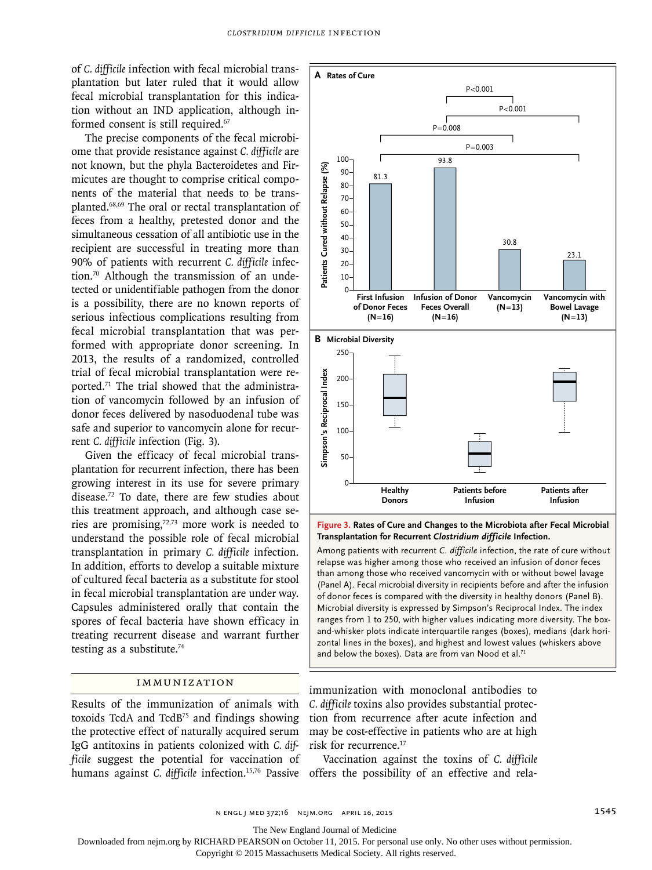of *C. difficile* infection with fecal microbial transplantation but later ruled that it would allow fecal microbial transplantation for this indication without an IND application, although informed consent is still required.<sup>67</sup>

The precise components of the fecal microbiome that provide resistance against *C. difficile* are not known, but the phyla Bacteroidetes and Firmicutes are thought to comprise critical components of the material that needs to be transplanted.68,69 The oral or rectal transplantation of feces from a healthy, pretested donor and the simultaneous cessation of all antibiotic use in the recipient are successful in treating more than 90% of patients with recurrent *C. difficile* infection.70 Although the transmission of an undetected or unidentifiable pathogen from the donor is a possibility, there are no known reports of serious infectious complications resulting from fecal microbial transplantation that was performed with appropriate donor screening. In 2013, the results of a randomized, controlled trial of fecal microbial transplantation were reported.71 The trial showed that the administration of vancomycin followed by an infusion of donor feces delivered by nasoduodenal tube was safe and superior to vancomycin alone for recurrent *C. difficile* infection (Fig. 3).

Given the efficacy of fecal microbial transplantation for recurrent infection, there has been growing interest in its use for severe primary disease.72 To date, there are few studies about this treatment approach, and although case series are promising,72,73 more work is needed to understand the possible role of fecal microbial transplantation in primary *C. difficile* infection. In addition, efforts to develop a suitable mixture of cultured fecal bacteria as a substitute for stool in fecal microbial transplantation are under way. Capsules administered orally that contain the spores of fecal bacteria have shown efficacy in treating recurrent disease and warrant further testing as a substitute.<sup>74</sup>

#### Immunization

Results of the immunization of animals with toxoids TcdA and TcdB75 and findings showing the protective effect of naturally acquired serum IgG antitoxins in patients colonized with *C. difficile* suggest the potential for vaccination of



**Figure 3. Rates of Cure and Changes to the Microbiota after Fecal Microbial Transplantation for Recurrent** *Clostridium difficile* **Infection.**

Among patients with recurrent *C. difficile* infection, the rate of cure without relapse was higher among those who received an infusion of donor feces than among those who received vancomycin with or without bowel lavage (Panel A). Fecal microbial diversity in recipients before and after the infusion of donor feces is compared with the diversity in healthy donors (Panel B). Microbial diversity is expressed by Simpson's Reciprocal Index. The index ranges from 1 to 250, with higher values indicating more diversity. The boxand-whisker plots indicate interquartile ranges (boxes), medians (dark horizontal lines in the boxes), and highest and lowest values (whiskers above

immunization with monoclonal antibodies to *C. difficile* toxins also provides substantial protection from recurrence after acute infection and may be cost-effective in patients who are at high risk for recurrence.17

humans against *C. difficile* infection.15,76 Passive offers the possibility of an effective and rela-Vaccination against the toxins of *C. difficile*

The New England Journal of Medicine

Downloaded from nejm.org by RICHARD PEARSON on October 11, 2015. For personal use only. No other uses without permission.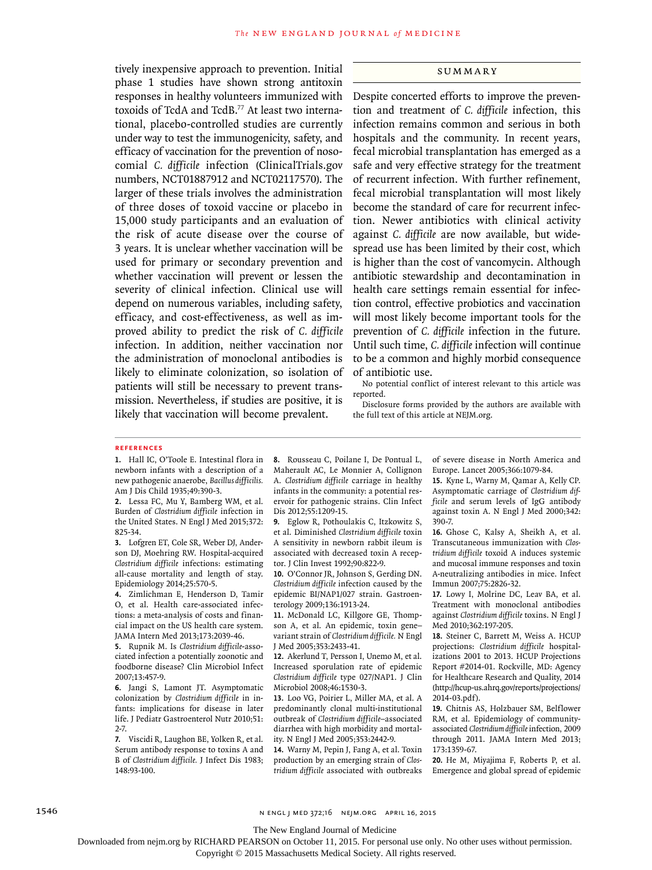tively inexpensive approach to prevention. Initial phase 1 studies have shown strong antitoxin responses in healthy volunteers immunized with toxoids of TcdA and TcdB.77 At least two international, placebo-controlled studies are currently under way to test the immunogenicity, safety, and efficacy of vaccination for the prevention of nosocomial *C. difficile* infection (ClinicalTrials.gov numbers, NCT01887912 and NCT02117570). The larger of these trials involves the administration of three doses of toxoid vaccine or placebo in 15,000 study participants and an evaluation of the risk of acute disease over the course of 3 years. It is unclear whether vaccination will be used for primary or secondary prevention and whether vaccination will prevent or lessen the severity of clinical infection. Clinical use will depend on numerous variables, including safety, efficacy, and cost-effectiveness, as well as improved ability to predict the risk of *C. difficile* infection. In addition, neither vaccination nor the administration of monoclonal antibodies is likely to eliminate colonization, so isolation of patients will still be necessary to prevent transmission. Nevertheless, if studies are positive, it is likely that vaccination will become prevalent.

#### **SUMMARY**

Despite concerted efforts to improve the prevention and treatment of *C. difficile* infection, this infection remains common and serious in both hospitals and the community. In recent years, fecal microbial transplantation has emerged as a safe and very effective strategy for the treatment of recurrent infection. With further refinement, fecal microbial transplantation will most likely become the standard of care for recurrent infection. Newer antibiotics with clinical activity against *C. difficile* are now available, but widespread use has been limited by their cost, which is higher than the cost of vancomycin. Although antibiotic stewardship and decontamination in health care settings remain essential for infection control, effective probiotics and vaccination will most likely become important tools for the prevention of *C. difficile* infection in the future. Until such time, *C. difficile* infection will continue to be a common and highly morbid consequence of antibiotic use.

No potential conflict of interest relevant to this article was reported.

Disclosure forms provided by the authors are available with the full text of this article at NEJM.org.

#### **References**

**1.** Hall IC, O'Toole E. Intestinal flora in newborn infants with a description of a new pathogenic anaerobe, *Bacillus difficilis.* Am J Dis Child 1935;49:390-3.

**2.** Lessa FC, Mu Y, Bamberg WM, et al. Burden of *Clostridium difficile* infection in the United States. N Engl J Med 2015;372: 825-34.

**3.** Lofgren ET, Cole SR, Weber DJ, Anderson DJ, Moehring RW. Hospital-acquired *Clostridium difficile* infections: estimating all-cause mortality and length of stay. Epidemiology 2014;25:570-5.

**4.** Zimlichman E, Henderson D, Tamir O, et al. Health care-associated infections: a meta-analysis of costs and financial impact on the US health care system. JAMA Intern Med 2013;173:2039-46.

**5.** Rupnik M. Is *Clostridium difficile*-associated infection a potentially zoonotic and foodborne disease? Clin Microbiol Infect 2007;13:457-9.

**6.** Jangi S, Lamont JT. Asymptomatic colonization by *Clostridium difficile* in infants: implications for disease in later life. J Pediatr Gastroenterol Nutr 2010;51: 2-7.

**7.** Viscidi R, Laughon BE, Yolken R, et al. Serum antibody response to toxins A and B of *Clostridium difficile.* J Infect Dis 1983; 148:93-100.

**8.** Rousseau C, Poilane I, De Pontual L, Maherault AC, Le Monnier A, Collignon A. *Clostridium difficile* carriage in healthy infants in the community: a potential reservoir for pathogenic strains. Clin Infect Dis 2012;55:1209-15.

**9.** Eglow R, Pothoulakis C, Itzkowitz S, et al. Diminished *Clostridium difficile* toxin A sensitivity in newborn rabbit ileum is associated with decreased toxin A receptor. J Clin Invest 1992;90:822-9.

**10.** O'Connor JR, Johnson S, Gerding DN. *Clostridium difficile* infection caused by the epidemic BI/NAP1/027 strain. Gastroenterology 2009;136:1913-24.

**11.** McDonald LC, Killgore GE, Thompson A, et al. An epidemic, toxin gene– variant strain of *Clostridium difficile.* N Engl J Med 2005;353:2433-41.

**12.** Akerlund T, Persson I, Unemo M, et al. Increased sporulation rate of epidemic *Clostridium difficile* type 027/NAP1. J Clin Microbiol 2008;46:1530-3.

**13.** Loo VG, Poirier L, Miller MA, et al. A predominantly clonal multi-institutional outbreak of *Clostridium difficile*–associated diarrhea with high morbidity and mortality. N Engl J Med 2005;353:2442-9.

**14.** Warny M, Pepin J, Fang A, et al. Toxin production by an emerging strain of *Clostridium difficile* associated with outbreaks of severe disease in North America and Europe. Lancet 2005;366:1079-84.

**15.** Kyne L, Warny M, Qamar A, Kelly CP. Asymptomatic carriage of *Clostridium difficile* and serum levels of IgG antibody against toxin A. N Engl J Med 2000;342: 390-7.

**16.** Ghose C, Kalsy A, Sheikh A, et al. Transcutaneous immunization with *Clostridium difficile* toxoid A induces systemic and mucosal immune responses and toxin A-neutralizing antibodies in mice. Infect Immun 2007;75:2826-32.

**17.** Lowy I, Molrine DC, Leav BA, et al. Treatment with monoclonal antibodies against *Clostridium difficile* toxins. N Engl J Med 2010;362:197-205.

**18.** Steiner C, Barrett M, Weiss A. HCUP projections: *Clostridium difficile* hospitalizations 2001 to 2013. HCUP Projections Report #2014-01. Rockville, MD: Agency for Healthcare Research and Quality, 2014 (http://hcup-us.ahrq.gov/reports/projections/ 2014-03.pdf).

**19.** Chitnis AS, Holzbauer SM, Belflower RM, et al. Epidemiology of communityassociated *Clostridium difficile* infection, 2009 through 2011. JAMA Intern Med 2013; 173:1359-67.

**20.** He M, Miyajima F, Roberts P, et al. Emergence and global spread of epidemic

1546 n engl j med 372;16 nejm.org April 16, 2015

The New England Journal of Medicine

Downloaded from nejm.org by RICHARD PEARSON on October 11, 2015. For personal use only. No other uses without permission.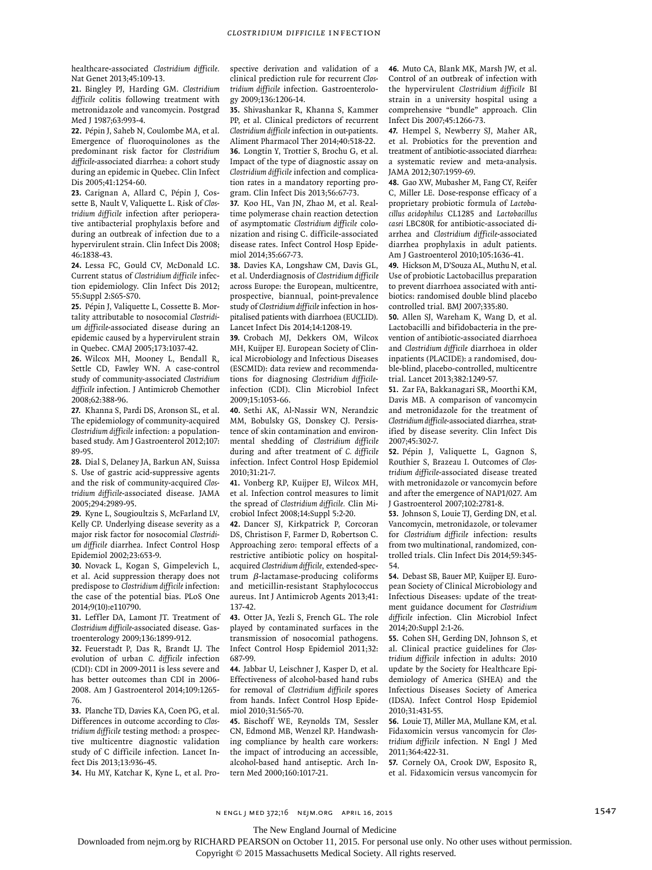healthcare-associated *Clostridium difficile.* Nat Genet 2013;45:109-13.

**21.** Bingley PJ, Harding GM. *Clostridium difficile* colitis following treatment with metronidazole and vancomycin. Postgrad Med J 1987;63:993-4.

**22.** Pépin J, Saheb N, Coulombe MA, et al. Emergence of fluoroquinolones as the predominant risk factor for *Clostridium difficile*-associated diarrhea: a cohort study during an epidemic in Quebec. Clin Infect Dis 2005;41:1254-60.

**23.** Carignan A, Allard C, Pépin J, Cossette B, Nault V, Valiquette L. Risk of *Clostridium difficile* infection after perioperative antibacterial prophylaxis before and during an outbreak of infection due to a hypervirulent strain. Clin Infect Dis 2008; 46:1838-43.

**24.** Lessa FC, Gould CV, McDonald LC. Current status of *Clostridium difficile* infection epidemiology. Clin Infect Dis 2012; 55:Suppl 2:S65-S70.

**25.** Pépin J, Valiquette L, Cossette B. Mortality attributable to nosocomial *Clostridium difficile*-associated disease during an epidemic caused by a hypervirulent strain in Quebec. CMAJ 2005;173:1037-42.

**26.** Wilcox MH, Mooney L, Bendall R, Settle CD, Fawley WN. A case-control study of community-associated *Clostridium difficile* infection. J Antimicrob Chemother 2008;62:388-96.

**27.** Khanna S, Pardi DS, Aronson SL, et al. The epidemiology of community-acquired *Clostridium difficile* infection: a populationbased study. Am J Gastroenterol 2012;107: 89-95.

**28.** Dial S, Delaney JA, Barkun AN, Suissa S. Use of gastric acid-suppressive agents and the risk of community-acquired *Clostridium difficile*-associated disease. JAMA 2005;294:2989-95.

**29.** Kyne L, Sougioultzis S, McFarland LV, Kelly CP. Underlying disease severity as a major risk factor for nosocomial *Clostridium difficile* diarrhea. Infect Control Hosp Epidemiol 2002;23:653-9.

**30.** Novack L, Kogan S, Gimpelevich L, et al. Acid suppression therapy does not predispose to *Clostridium difficile* infection: the case of the potential bias. PLoS One 2014;9(10):e110790.

**31.** Leffler DA, Lamont JT. Treatment of *Clostridium difficile*-associated disease. Gastroenterology 2009;136:1899-912.

**32.** Feuerstadt P, Das R, Brandt LJ. The evolution of urban *C. difficile* infection (CDI): CDI in 2009-2011 is less severe and has better outcomes than CDI in 2006- 2008. Am J Gastroenterol 2014;109:1265- 76.

**33.** Planche TD, Davies KA, Coen PG, et al. Differences in outcome according to *Clostridium difficile* testing method: a prospective multicentre diagnostic validation study of C difficile infection. Lancet Infect Dis 2013;13:936-45.

**34.** Hu MY, Katchar K, Kyne L, et al. Pro-

spective derivation and validation of a clinical prediction rule for recurrent *Clostridium difficile* infection. Gastroenterology 2009;136:1206-14.

**35.** Shivashankar R, Khanna S, Kammer PP, et al. Clinical predictors of recurrent *Clostridium difficile* infection in out-patients. Aliment Pharmacol Ther 2014;40:518-22. **36.** Longtin Y, Trottier S, Brochu G, et al. Impact of the type of diagnostic assay on *Clostridium difficile* infection and complication rates in a mandatory reporting program. Clin Infect Dis 2013;56:67-73.

**37.** Koo HL, Van JN, Zhao M, et al. Realtime polymerase chain reaction detection of asymptomatic *Clostridium difficile* colonization and rising C. difficile-associated disease rates. Infect Control Hosp Epidemiol 2014;35:667-73.

**38.** Davies KA, Longshaw CM, Davis GL, et al. Underdiagnosis of *Clostridium difficile* across Europe: the European, multicentre, prospective, biannual, point-prevalence study of *Clostridium difficile* infection in hospitalised patients with diarrhoea (EUCLID). Lancet Infect Dis 2014;14:1208-19.

**39.** Crobach MJ, Dekkers OM, Wilcox MH, Kuijper EJ. European Society of Clinical Microbiology and Infectious Diseases (ESCMID): data review and recommendations for diagnosing *Clostridium difficile*infection (CDI). Clin Microbiol Infect 2009;15:1053-66.

**40.** Sethi AK, Al-Nassir WN, Nerandzic MM, Bobulsky GS, Donskey CJ. Persistence of skin contamination and environmental shedding of *Clostridium difficile* during and after treatment of *C. difficile* infection. Infect Control Hosp Epidemiol 2010;31:21-7.

**41.** Vonberg RP, Kuijper EJ, Wilcox MH, et al. Infection control measures to limit the spread of *Clostridium difficile.* Clin Microbiol Infect 2008;14:Suppl 5:2-20.

**42.** Dancer SJ, Kirkpatrick P, Corcoran DS, Christison F, Farmer D, Robertson C. Approaching zero: temporal effects of a restrictive antibiotic policy on hospitalacquired *Clostridium difficile*, extended-spectrum β-lactamase-producing coliforms and meticillin-resistant Staphylococcus aureus. Int J Antimicrob Agents 2013;41: 137-42.

**43.** Otter JA, Yezli S, French GL. The role played by contaminated surfaces in the transmission of nosocomial pathogens. Infect Control Hosp Epidemiol 2011;32: 687-99.

**44.** Jabbar U, Leischner J, Kasper D, et al. Effectiveness of alcohol-based hand rubs for removal of *Clostridium difficile* spores from hands. Infect Control Hosp Epidemiol 2010;31:565-70.

**45.** Bischoff WE, Reynolds TM, Sessler CN, Edmond MB, Wenzel RP. Handwashing compliance by health care workers: the impact of introducing an accessible, alcohol-based hand antiseptic. Arch Intern Med 2000;160:1017-21.

**46.** Muto CA, Blank MK, Marsh JW, et al. Control of an outbreak of infection with the hypervirulent *Clostridium difficile* BI strain in a university hospital using a comprehensive "bundle" approach. Clin Infect Dis 2007;45:1266-73.

**47.** Hempel S, Newberry SJ, Maher AR, et al. Probiotics for the prevention and treatment of antibiotic-associated diarrhea: a systematic review and meta-analysis. JAMA 2012;307:1959-69.

**48.** Gao XW, Mubasher M, Fang CY, Reifer C, Miller LE. Dose-response efficacy of a proprietary probiotic formula of *Lactobacillus acidophilus* CL1285 and *Lactobacillus casei* LBC80R for antibiotic-associated diarrhea and *Clostridium difficile*-associated diarrhea prophylaxis in adult patients. Am J Gastroenterol 2010;105:1636-41.

**49.** Hickson M, D'Souza AL, Muthu N, et al. Use of probiotic Lactobacillus preparation to prevent diarrhoea associated with antibiotics: randomised double blind placebo controlled trial. BMJ 2007;335:80.

**50.** Allen SJ, Wareham K, Wang D, et al. Lactobacilli and bifidobacteria in the prevention of antibiotic-associated diarrhoea and *Clostridium difficile* diarrhoea in older inpatients (PLACIDE): a randomised, double-blind, placebo-controlled, multicentre trial. Lancet 2013;382:1249-57.

**51.** Zar FA, Bakkanagari SR, Moorthi KM, Davis MB. A comparison of vancomycin and metronidazole for the treatment of *Clostridium difficile*-associated diarrhea, stratified by disease severity. Clin Infect Dis 2007;45:302-7.

**52.** Pépin J, Valiquette L, Gagnon S, Routhier S, Brazeau I. Outcomes of *Clostridium difficile*-associated disease treated with metronidazole or vancomycin before and after the emergence of NAP1/027. Am J Gastroenterol 2007;102:2781-8.

**53.** Johnson S, Louie TJ, Gerding DN, et al. Vancomycin, metronidazole, or tolevamer for *Clostridium difficile* infection: results from two multinational, randomized, controlled trials. Clin Infect Dis 2014;59:345- 54.

**54.** Debast SB, Bauer MP, Kuijper EJ. European Society of Clinical Microbiology and Infectious Diseases: update of the treatment guidance document for *Clostridium difficile* infection. Clin Microbiol Infect 2014;20:Suppl 2:1-26.

**55.** Cohen SH, Gerding DN, Johnson S, et al. Clinical practice guidelines for *Clostridium difficile* infection in adults: 2010 update by the Society for Healthcare Epidemiology of America (SHEA) and the Infectious Diseases Society of America (IDSA). Infect Control Hosp Epidemiol 2010;31:431-55.

**56.** Louie TJ, Miller MA, Mullane KM, et al. Fidaxomicin versus vancomycin for *Clostridium difficile* infection. N Engl J Med 2011;364:422-31.

**57.** Cornely OA, Crook DW, Esposito R, et al. Fidaxomicin versus vancomycin for

n engl j med 372;16 nejm.org April 16, 2015 1547 1547

The New England Journal of Medicine

Downloaded from nejm.org by RICHARD PEARSON on October 11, 2015. For personal use only. No other uses without permission.